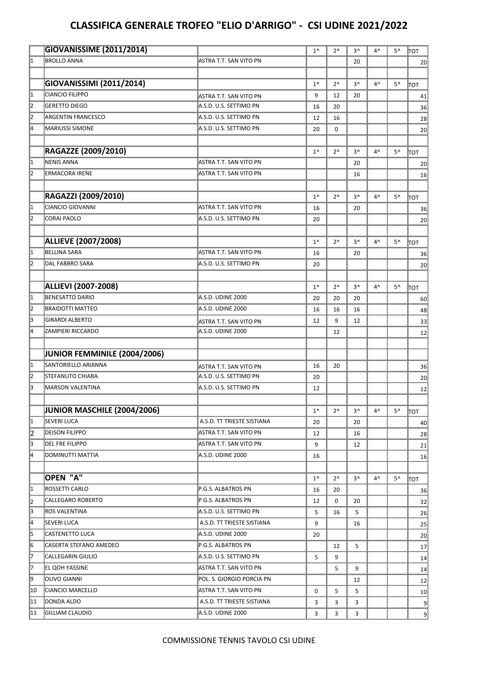## **CLASSIFICA GENERALE TROFEO "ELIO D'ARRIGO" - CSI UDINE 2021/2022**

|                         | <b>GIOVANISSIME (2011/2014)</b> |                            | $1^{\wedge}$ | $2^{\wedge}$ | $3^{\wedge}$ | 4^           | 5^ | ∣тот |
|-------------------------|---------------------------------|----------------------------|--------------|--------------|--------------|--------------|----|------|
| $\vert$ 1               | <b>BROLLO ANNA</b>              | ASTRA T.T. SAN VITO PN     |              |              | 20           |              |    | 20   |
|                         |                                 |                            |              |              |              |              |    |      |
|                         | GIOVANISSIMI (2011/2014)        |                            | $1^{\wedge}$ | $2^{\wedge}$ | $3^{\wedge}$ | $4^{\wedge}$ | 5^ | TOT  |
| $\vert$ 1               | <b>CIANCIO FILIPPO</b>          | ASTRA T.T. SAN VITO PN     | 9            | 12           | 20           |              |    | 41   |
| $\overline{2}$          | <b>GERETTO DIEGO</b>            | A.S.D. U.S. SETTIMO PN     | 16           | 20           |              |              |    | 36   |
| $\overline{2}$          | <b>ARGENTIN FRANCESCO</b>       | A.S.D. U.S. SETTIMO PN     | 12           | 16           |              |              |    | 28   |
| 4                       | <b>MARIUSSI SIMONE</b>          | A.S.D. U.S. SETTIMO PN     | 20           | 0            |              |              |    | 20   |
|                         |                                 |                            |              |              |              |              |    |      |
|                         | RAGAZZE (2009/2010)             |                            | $1^{\wedge}$ | $2^{\wedge}$ | $3^{\wedge}$ | 4^           | 5^ | ∣тот |
| $\vert$ 1               | <b>NENIS ANNA</b>               | ASTRA T.T. SAN VITO PN     |              |              | 20           |              |    | 20   |
| $\overline{2}$          | <b>ERMACORA IRENE</b>           | ASTRA T.T. SAN VITO PN     |              |              | 16           |              |    | 16   |
|                         |                                 |                            |              |              |              |              |    |      |
|                         | RAGAZZI (2009/2010)             |                            | $1^{\wedge}$ | $2^{\wedge}$ | $3^{\wedge}$ | 4^           | 5^ | TOT  |
| $\vert$ 1               | CIANCIO GIOVANNI                | ASTRA T.T. SAN VITO PN     | 16           |              | 20           |              |    | 36   |
| $\overline{2}$          | <b>CORAI PAOLO</b>              | A.S.D. U.S. SETTIMO PN     | 20           |              |              |              |    | 20   |
|                         |                                 |                            |              |              |              |              |    |      |
|                         | <b>ALLIEVE (2007/2008)</b>      |                            | $1^{\wedge}$ | $2^{\wedge}$ | $3^{\wedge}$ | 4^           | 5^ |      |
| 1                       | <b>BELLINA SARA</b>             | ASTRA T.T. SAN VITO PN     | 16           |              | 20           |              |    | TOT  |
| $\vert$ <sub>2</sub>    | <b>DAL FABBRO SARA</b>          | A.S.D. U.S. SETTIMO PN     | 20           |              |              |              |    | 36   |
|                         |                                 |                            |              |              |              |              |    | 20   |
|                         | <b>ALLIEVI (2007-2008)</b>      |                            |              |              |              |              |    |      |
| $\vert$ 1               | <b>BENESATTO DARIO</b>          | A.S.D. UDINE 2000          | $1^{\wedge}$ | $2^{\wedge}$ | $3^{\wedge}$ | 4^           | 5^ | TOT  |
| $\overline{2}$          |                                 |                            | 20           | 20           | 20           |              |    | 60   |
| $\overline{3}$          | <b>BRAIDOTTI MATTEO</b>         | A.S.D. UDINE 2000          | 16           | 16           | 16           |              |    | 48   |
| 4                       | <b>GIRARDI ALBERTO</b>          | ASTRA T.T. SAN VITO PN     | 12           | 9            | 12           |              |    | 33   |
|                         | <b>ZAMPIERI RICCARDO</b>        | A.S.D. UDINE 2000          |              | 12           |              |              |    | 12   |
|                         |                                 |                            |              |              |              |              |    |      |
|                         | JUNIOR FEMMINILE (2004/2006)    |                            |              |              |              |              |    |      |
| $\vert$ 1               | SANTORIELLO ARIANNA             | ASTRA T.T. SAN VITO PN     | 16           | 20           |              |              |    | 36   |
| $\overline{2}$          | <b>STEFANUTO CHIARA</b>         | A.S.D. U.S. SETTIMO PN     | 20           |              |              |              |    | 20   |
| l3                      | MARSON VALENTINA                | A.S.D. U.S. SETTIMO PN     | 12           |              |              |              |    | 12   |
|                         |                                 |                            |              |              |              |              |    |      |
|                         | JUNIOR MASCHILE (2004/2006)     |                            | $1^{\wedge}$ | $2^{\wedge}$ | 3^           | 4^           | 5^ | TOT  |
| 1                       | <b>SEVERI LUCA</b>              | A.S.D. TT TRIESTE SISTIANA | 20           |              | 20           |              |    | 40   |
| 2                       | <b>DEISON FILIPPO</b>           | ASTRA T.T. SAN VITO PN     | 12           |              | 16           |              |    | 28   |
| $\overline{3}$          | <b>DEL FRE FILIPPO</b>          | ASTRA T.T. SAN VITO PN     | 9            |              | 12           |              |    | 21   |
| 4                       | DOMINUTTI MATTIA                | A.S.D. UDINE 2000          | 16           |              |              |              |    | 16   |
|                         |                                 |                            |              |              |              |              |    |      |
|                         | OPEN "A"                        |                            | $1^{\wedge}$ | $2^{\wedge}$ | 3^           | 4^           | 5^ | TOT  |
| 1                       | ROSSETTI CARLO                  | P.G.S. ALBATROS PN         | 16           | 20           |              |              |    | 36   |
| 2                       | CALLEGARO ROBERTO               | P.G.S. ALBATROS PN         | 12           | 0            | 20           |              |    | 32   |
| $\overline{\mathbf{3}}$ | <b>ROS VALENTINA</b>            | A.S.D. U.S. SETTIMO PN     | 5            | 16           | 5            |              |    | 26   |
| $\overline{4}$          | <b>SEVERI LUCA</b>              | A.S.D. TT TRIESTE SISTIANA | 9            |              | 16           |              |    | 25   |
| 5                       | CASTENETTO LUCA                 | A.S.D. UDINE 2000          | 20           |              |              |              |    | 20   |
| 6                       | CASERTA STEFANO AMEDEO          | P.G.S. ALBATROS PN         |              | 12           | 5            |              |    | 17   |
| 7                       | CALLEGARIN GIULIO               | A.S.D. U.S. SETTIMO PN     | 5            | 9            |              |              |    | 14   |
| 17                      | EL QOH YASSINE                  | ASTRA T.T. SAN VITO PN     |              | 5            | 9            |              |    | 14   |
| g                       | <b>OLIVO GIANNI</b>             | POL. S. GIORGIO PORCIA PN  |              |              | 12           |              |    | 12   |
| 10                      | CIANCIO MARCELLO                | ASTRA T.T. SAN VITO PN     | 0            | 5            | 5            |              |    | 10   |
| 11                      | DONDA ALDO                      | A.S.D. TT TRIESTE SISTIANA | 3            | 3            | 3            |              |    | 9    |
| 11                      | <b>GILLIAM CLAUDIO</b>          | A.S.D. UDINE 2000          | 3            | 3            | 3            |              |    | 9    |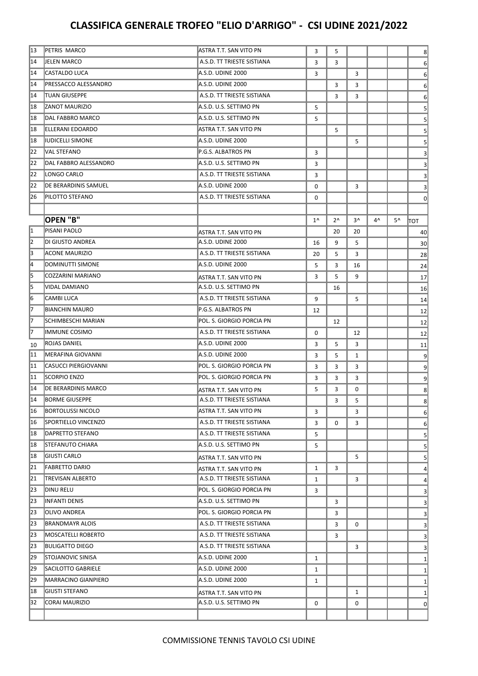## **CLASSIFICA GENERALE TROFEO "ELIO D'ARRIGO" - CSI UDINE 2021/2022**

| 13 | PETRIS MARCO               | ASTRA T.T. SAN VITO PN     | 3            | 5            |              |    |    | 8               |
|----|----------------------------|----------------------------|--------------|--------------|--------------|----|----|-----------------|
| 14 | JELEN MARCO                | A.S.D. TT TRIESTE SISTIANA | 3            | 3            |              |    |    | 6               |
| 14 | CASTALDO LUCA              | A.S.D. UDINE 2000          | 3            |              | 3            |    |    | 6               |
| 14 | PRESSACCO ALESSANDRO       | A.S.D. UDINE 2000          |              | 3            | 3            |    |    | 6               |
| 14 | <b>TUAN GIUSEPPE</b>       | A.S.D. TT TRIESTE SISTIANA |              | 3            | 3            |    |    | 6               |
| 18 | <b>ZANOT MAURIZIO</b>      | A.S.D. U.S. SETTIMO PN     | 5            |              |              |    |    | 5               |
| 18 | DAL FABBRO MARCO           | A.S.D. U.S. SETTIMO PN     | 5            |              |              |    |    | 5               |
| 18 | ELLERANI EDOARDO           | ASTRA T.T. SAN VITO PN     |              | 5            |              |    |    | 5               |
| 18 | <b>IUDICELLI SIMONE</b>    | A.S.D. UDINE 2000          |              |              | 5            |    |    | 5               |
| 22 | VAL STEFANO                | P.G.S. ALBATROS PN         | 3            |              |              |    |    | 3               |
| 22 | DAL FABBRO ALESSANDRO      | A.S.D. U.S. SETTIMO PN     | 3            |              |              |    |    | 3               |
| 22 | LONGO CARLO                | A.S.D. TT TRIESTE SISTIANA | 3            |              |              |    |    | 3               |
| 22 | DE BERARDINIS SAMUEL       | A.S.D. UDINE 2000          | 0            |              | 3            |    |    | 3               |
| 26 | PILOTTO STEFANO            | A.S.D. TT TRIESTE SISTIANA | 0            |              |              |    |    | $\Omega$        |
|    |                            |                            |              |              |              |    |    |                 |
|    | OPEN "B"                   |                            | $1^{\wedge}$ | $2^{\wedge}$ | $3^{\wedge}$ | 4^ | 5^ | TOT             |
| 1  | PISANI PAOLO               | ASTRA T.T. SAN VITO PN     |              | 20           | 20           |    |    | 40              |
| 2  | DI GIUSTO ANDREA           | A.S.D. UDINE 2000          | 16           | 9            | 5            |    |    | 30              |
| l3 | ACONE MAURIZIO             | A.S.D. TT TRIESTE SISTIANA | 20           | 5            | 3            |    |    | 28              |
| 14 | DOMINUTTI SIMONE           | A.S.D. UDINE 2000          | 5            | 3            | 16           |    |    | 24              |
| 5  | <b>COZZARINI MARIANO</b>   | ASTRA T.T. SAN VITO PN     | 3            | 5            | 9            |    |    | 17              |
| 5  | VIDAL DAMIANO              | A.S.D. U.S. SETTIMO PN     |              | 16           |              |    |    | 16              |
| 6  | CAMBI LUCA                 | A.S.D. TT TRIESTE SISTIANA | 9            |              | 5            |    |    | 14              |
| 17 | <b>BIANCHIN MAURO</b>      | P.G.S. ALBATROS PN         | 12           |              |              |    |    | 12              |
| 17 | SCHIMBESCHI MARIAN         | POL. S. GIORGIO PORCIA PN  |              | 12           |              |    |    | 12              |
| 17 | <b>IMMUNE COSIMO</b>       | A.S.D. TT TRIESTE SISTIANA | 0            |              | 12           |    |    | 12              |
| 10 | <b>ROJAS DANIEL</b>        | A.S.D. UDINE 2000          | 3            | 5            | 3            |    |    | 11              |
| 11 | MERAFINA GIOVANNI          | A.S.D. UDINE 2000          | 3            | 5            | 1            |    |    | 9               |
| 11 | CASUCCI PIERGIOVANNI       | POL. S. GIORGIO PORCIA PN  | 3            | 3            | 3            |    |    | 9               |
| 11 | SCORPIO ENZO               | POL. S. GIORGIO PORCIA PN  | 3            | 3            | 3            |    |    | 9               |
| 14 | DE BERARDINIS MARCO        | ASTRA T.T. SAN VITO PN     | 5            | 3            | 0            |    |    | 8               |
| 14 | BORME GIUSEPPE             | A.S.D. TT TRIESTE SISTIANA |              | 3            | 5            |    |    | 8               |
| 16 | <b>BORTOLUSSI NICOLO</b>   | ASTRA T.T. SAN VITO PN     | 3            |              | 3            |    |    | $6 \mid$        |
| 16 | <b>SPORTIELLO VINCENZO</b> | A.S.D. TT TRIESTE SISTIANA | 3            | $\mathbf 0$  | 3            |    |    | 6               |
| 18 | DAPRETTO STEFANO           | A.S.D. TT TRIESTE SISTIANA | 5            |              |              |    |    | $5\overline{)}$ |
| 18 | <b>STEFANUTO CHIARA</b>    | A.S.D. U.S. SETTIMO PN     | 5            |              |              |    |    | 5               |
| 18 | <b>GIUSTI CARLO</b>        | ASTRA T.T. SAN VITO PN     |              |              | 5            |    |    | 5               |
| 21 | <b>FABRETTO DARIO</b>      | ASTRA T.T. SAN VITO PN     | $\mathbf{1}$ | 3            |              |    |    | 4               |
| 21 | <b>TREVISAN ALBERTO</b>    | A.S.D. TT TRIESTE SISTIANA | $\mathbf{1}$ |              | 3            |    |    | 4               |
| 23 | DINU RELU                  | POL. S. GIORGIO PORCIA PN  | 3            |              |              |    |    | 3               |
| 23 | INFANTI DENIS              | A.S.D. U.S. SETTIMO PN     |              | 3            |              |    |    | 3               |
| 23 | OLIVO ANDREA               | POL. S. GIORGIO PORCIA PN  |              | 3            |              |    |    | 3               |
| 23 | <b>BRANDMAYR ALOIS</b>     | A.S.D. TT TRIESTE SISTIANA |              | 3            | 0            |    |    | 3               |
| 23 | MOSCATELLI ROBERTO         | A.S.D. TT TRIESTE SISTIANA |              | 3            |              |    |    | 3               |
| 23 | <b>BULIGATTO DIEGO</b>     | A.S.D. TT TRIESTE SISTIANA |              |              | 3            |    |    | 3               |
| 29 | STOJANOVIC SINISA          | A.S.D. UDINE 2000          | $\mathbf{1}$ |              |              |    |    | $\mathbf{1}$    |
| 29 | SACILOTTO GABRIELE         | A.S.D. UDINE 2000          | $\mathbf{1}$ |              |              |    |    | $1\vert$        |
| 29 | MARRACINO GIANPIERO        | A.S.D. UDINE 2000          | $\mathbf{1}$ |              |              |    |    | $\mathbf{1}$    |
| 18 | GIUSTI STEFANO             | ASTRA T.T. SAN VITO PN     |              |              | $\mathbf{1}$ |    |    | $\mathbf{1}$    |
| 32 | CORAI MAURIZIO             | A.S.D. U.S. SETTIMO PN     | 0            |              | 0            |    |    | $\Omega$        |
|    |                            |                            |              |              |              |    |    |                 |